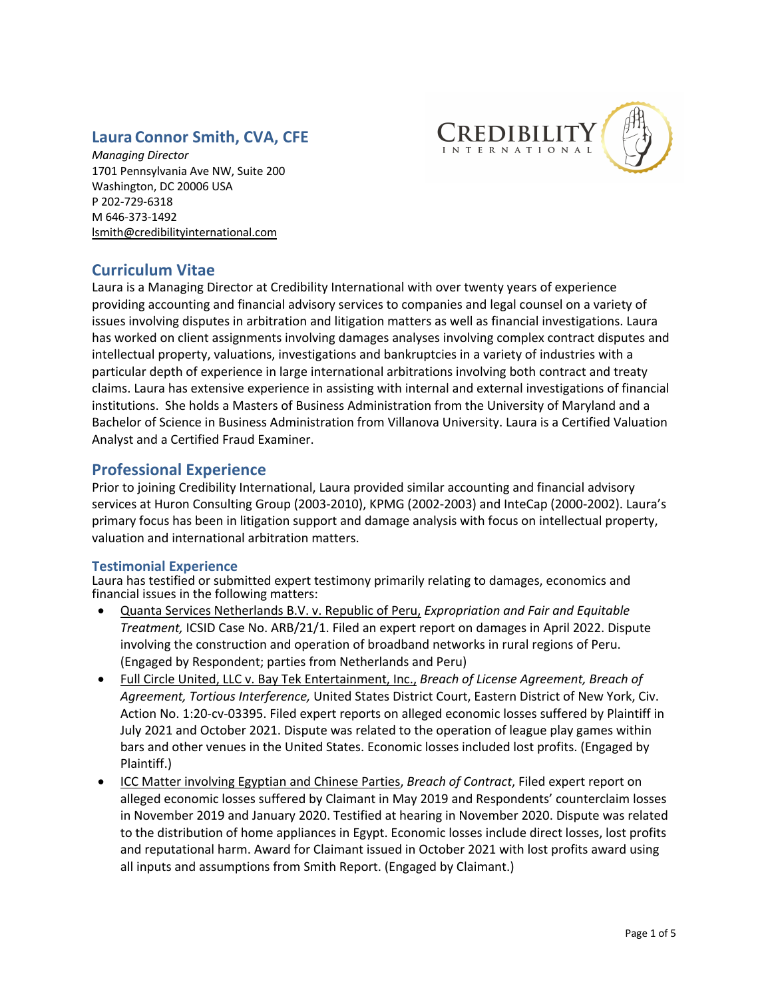# **Laura Connor Smith, CVA, CFE**



*Managing Director* 1701 Pennsylvania Ave NW, Suite 200 Washington, DC 20006 USA P 202-729-6318 M 646-373-1492 lsmith@credibilityinternational.com

# **Curriculum Vitae**

Laura is a Managing Director at Credibility International with over twenty years of experience providing accounting and financial advisory services to companies and legal counsel on a variety of issues involving disputes in arbitration and litigation matters as well as financial investigations. Laura has worked on client assignments involving damages analyses involving complex contract disputes and intellectual property, valuations, investigations and bankruptcies in a variety of industries with a particular depth of experience in large international arbitrations involving both contract and treaty claims. Laura has extensive experience in assisting with internal and external investigations of financial institutions. She holds a Masters of Business Administration from the University of Maryland and a Bachelor of Science in Business Administration from Villanova University. Laura is a Certified Valuation Analyst and a Certified Fraud Examiner.

# **Professional Experience**

Prior to joining Credibility International, Laura provided similar accounting and financial advisory services at Huron Consulting Group (2003-2010), KPMG (2002-2003) and InteCap (2000-2002). Laura's primary focus has been in litigation support and damage analysis with focus on intellectual property, valuation and international arbitration matters.

## **Testimonial Experience**

Laura has testified or submitted expert testimony primarily relating to damages, economics and financial issues in the following matters:

- Quanta Services Netherlands B.V. v. Republic of Peru, *Expropriation and Fair and Equitable Treatment,* ICSID Case No. ARB/21/1. Filed an expert report on damages in April 2022. Dispute involving the construction and operation of broadband networks in rural regions of Peru. (Engaged by Respondent; parties from Netherlands and Peru)
- Full Circle United, LLC v. Bay Tek Entertainment, Inc., *Breach of License Agreement, Breach of Agreement, Tortious Interference,* United States District Court, Eastern District of New York, Civ. Action No. 1:20-cv-03395. Filed expert reports on alleged economic losses suffered by Plaintiff in July 2021 and October 2021. Dispute was related to the operation of league play games within bars and other venues in the United States. Economic losses included lost profits. (Engaged by Plaintiff.)
- ICC Matter involving Egyptian and Chinese Parties, *Breach of Contract*, Filed expert report on alleged economic losses suffered by Claimant in May 2019 and Respondents' counterclaim losses in November 2019 and January 2020. Testified at hearing in November 2020. Dispute was related to the distribution of home appliances in Egypt. Economic losses include direct losses, lost profits and reputational harm. Award for Claimant issued in October 2021 with lost profits award using all inputs and assumptions from Smith Report. (Engaged by Claimant.)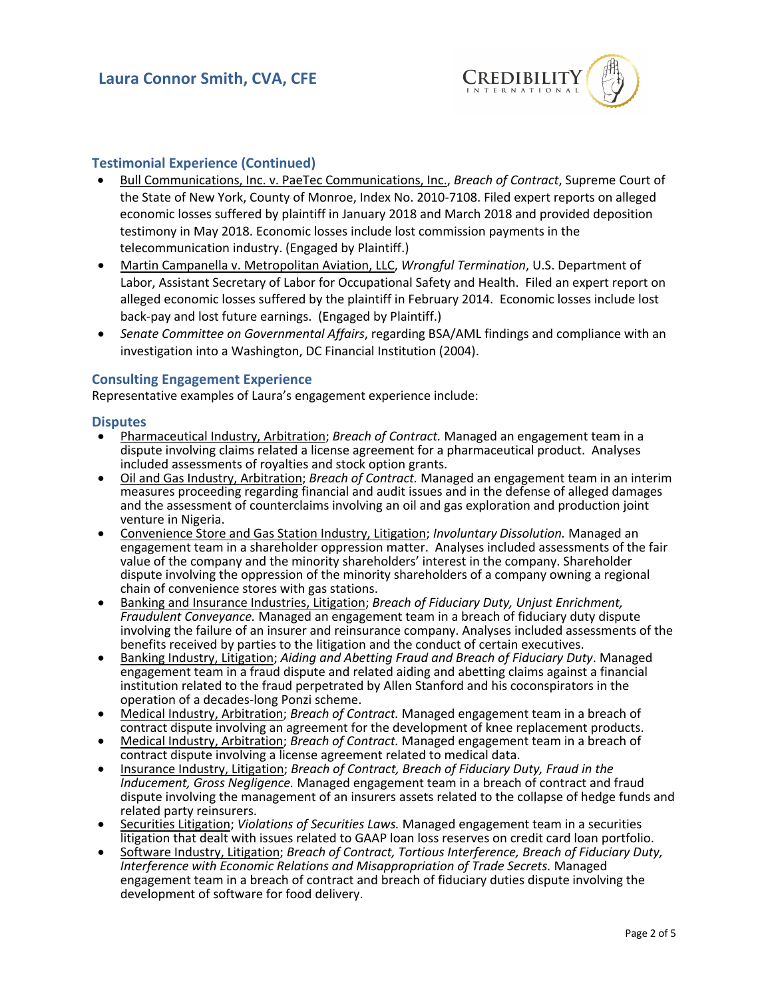

### **Testimonial Experience (Continued)**

- Bull Communications, Inc. v. PaeTec Communications, Inc., *Breach of Contract*, Supreme Court of the State of New York, County of Monroe, Index No. 2010-7108. Filed expert reports on alleged economic losses suffered by plaintiff in January 2018 and March 2018 and provided deposition testimony in May 2018. Economic losses include lost commission payments in the telecommunication industry. (Engaged by Plaintiff.)
- Martin Campanella v. Metropolitan Aviation, LLC, *Wrongful Termination*, U.S. Department of Labor, Assistant Secretary of Labor for Occupational Safety and Health. Filed an expert report on alleged economic losses suffered by the plaintiff in February 2014. Economic losses include lost back-pay and lost future earnings. (Engaged by Plaintiff.)
- *Senate Committee on Governmental Affairs*, regarding BSA/AML findings and compliance with an investigation into a Washington, DC Financial Institution (2004).

#### **Consulting Engagement Experience**

Representative examples of Laura's engagement experience include:

#### **Disputes**

- Pharmaceutical Industry, Arbitration; *Breach of Contract.* Managed an engagement team in a dispute involving claims related a license agreement for a pharmaceutical product. Analyses included assessments of royalties and stock option grants.
- Oil and Gas Industry, Arbitration; *Breach of Contract.* Managed an engagement team in an interim measures proceeding regarding financial and audit issues and in the defense of alleged damages and the assessment of counterclaims involving an oil and gas exploration and production joint venture in Nigeria.
- Convenience Store and Gas Station Industry, Litigation; *Involuntary Dissolution.* Managed an engagement team in a shareholder oppression matter. Analyses included assessments of the fair value of the company and the minority shareholders' interest in the company. Shareholder dispute involving the oppression of the minority shareholders of a company owning a regional chain of convenience stores with gas stations.
- Banking and Insurance Industries, Litigation; *Breach of Fiduciary Duty, Unjust Enrichment, Fraudulent Conveyance.* Managed an engagement team in a breach of fiduciary duty dispute involving the failure of an insurer and reinsurance company. Analyses included assessments of the benefits received by parties to the litigation and the conduct of certain executives.
- **•** Banking Industry, Litigation; *Aiding and Abetting Fraud and Breach of Fiduciary Duty*. Managed engagement team in a fraud dispute and related aiding and abetting claims against a financial institution related to the fraud perpetrated by Allen Stanford and his coconspirators in the
- operation of a decay-long Ponzi scheme. Medical Industry, Arbitration; *Breach of Contract. Managed engagement team in a breach of* contract dispute involving an agreement for the development of knee replacement products
- Medical Industry, Arbitration; *Breach of Contract*. Managed engagement team in a breach of contract dispute involving a license agreement related to medical data.
- Insurance Industry, Litigation; *Breach of Contract, Breach of Fiduciary Duty, Fraud in the Inducement, Gross Negligence.* Managed engagement team in a breach of contract and fraud dispute involving the management of an insurers assets related to the collapse of hedge funds and<br>related party reinsurers.
- **•** Securities Litigation; *Violations of Securities Laws.* Managed engagement team in a securities litigation that dealt with issues related to GAAP loan loss reserves on credit card loan portfolio.
- Software Industry, Litigation; *Breach of Contract, Tortious Interference, Breach of Fiduciary Duty, Interference with Economic Relations and Misappropriation of Trade Secrets.* Managed engagement team in a breach of contract and breach of fiduciary duties dispute involving the development of software for food delivery.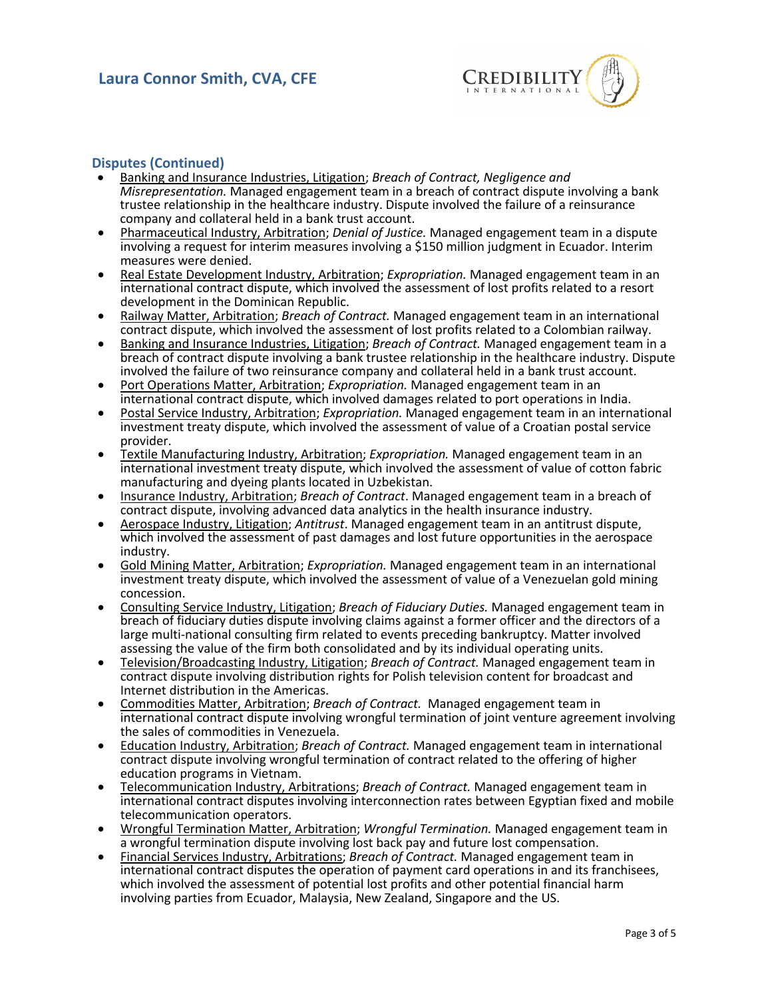

#### **Disputes (Continued)**

- Banking and Insurance Industries, Litigation; *Breach of Contract, Negligence and Misrepresentation.* Managed engagement team in a breach of contract dispute involving a bank trustee relationship in the healthcare industry. Dispute involved the failure of a reinsurance
- **•** Pharmaceutical Industry, Arbitration; *Denial of Justice*. Managed engagement team in a dispute involving a request for interim measures involving a \$150 million judgment in Ecuador. Interim
- measures were denied. Real Estate Development Industry, Arbitration; *Expropriation.* Managed engagement team in an international contract dispute, which involved the assessment of lost profits related to a resort
- Railway Matter, Arbitration: *Breach of Contract*. Managed engagement team in an international contract dispute, which involved the assessment of lost profits related to a Colombian railway.
- Banking and Insurance Industries, Litigation; *Breach of Contract.* Managed engagement team in a breach of contract dispute involving a bank trustee relationship in the healthcare industry. Dispute involved the failure of two reinsurance company and collateral held in a bank trust account.
- Port Operations Matter, Arbitration; *Expropriation.* Managed engagement team in an
- **•** Postal Service Industry, Arbitration; *Expropriation*. Managed engagement team in an international investment treaty dispute, which involved the assessment of value of a Croatian postal service provider.
- Textile Manufacturing Industry, Arbitration; *Expropriation.* Managed engagement team in an international investment treaty dispute, which involved the assessment of value of cotton fabric
- manufacturing and dyeing plants located in Uzbekistan.<br>
 Insurance Industry, Arbitration; *Breach of Contract*. Managed engagement team in a breach of<br>
contract dispute, involving advanced data analytics in the health ins
- **Exam** Aerospace Industry, Litigation; Antitrust. Managed engagement team in an antitrust dispute, which involved the assessment of past damages and lost future opportunities in the aerospace industry. • Gold Mining Matter, Arbitration; *Expropriation.* Managed engagement team in an international
- investment treaty dispute, which involved the assessment of value of a Venezuelan gold mining concession. • Consulting Service Industry, Litigation; *Breach of Fiduciary Duties.* Managed engagement team in
- breach of fiduciary duties dispute involving claims against a former officer and the directors of a large multi-national consulting firm related to events preceding bankruptcy. Matter involved<br>assessing the value of the firm both consolidated and by its individual operating units.
- Television/Broadcasting Industry, Litigation; *Breach of Contract*. Managed engagement team in contract dispute involving distribution rights for Polish television content for broadcast and Internet distribution in the Americas.
- Commodities Matter, Arbitration; *Breach of Contract.* Managed engagement team in international contract dispute involving wrongful termination of joint venture agreement involving the sales of commodities in Venezuela. • Education Industry, Arbitration; *Breach of Contract.* Managed engagement team in international
- contract dispute involving wrongful termination of contract related to the offering of higher education programs in Vietnam.
- Telecommunication Industry, Arbitrations; *Breach of Contract.* Managed engagement team in international contract disputes involving interconnection rates between Egyptian fixed and mobile telecommunication operators.<br>Wrongful Termination Matter, Arbitration; *Wrongful Termination*. Managed engagement team in
- a wrongful termination dispute involving lost back pay and future lost compensation.
- Financial Services Industry, Arbitrations; *Breach of Contract.* Managed engagement team in international contract disputes the operation of payment card operations in and its franchisees, which involved the assessment of potential lost profits and other potential financial harm involving parties from Ecuador, Malaysia, New Zealand, Singapore and the US.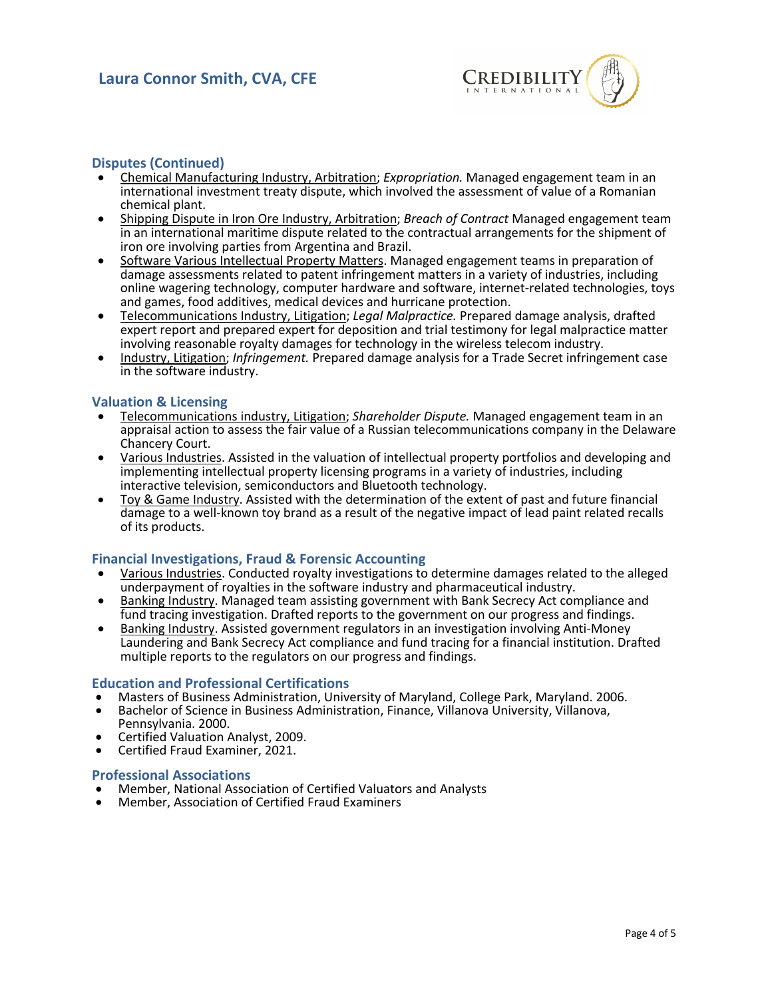

### **Disputes (Continued)**

- Chemical Manufacturing Industry, Arbitration; *Expropriation.* Managed engagement team in an international investment treaty dispute, which involved the assessment of value of a Romanian chemical plant.
- Shipping Dispute in Iron Ore Industry, Arbitration; *Breach of Contract* Managed engagement team in an international maritime dispute related to the contractual arrangements for the shipment of iron ore involving parties from Argentina and Brazil.
- Software Various Intellectual Property Matters. Managed engagement teams in preparation of damage assessments related to patent infringement matters in a variety of industries, including online wagering technology, computer hardware and software, internet-related technologies, toys
- and games, food additives, medical devices and hurricane protection.<br>Telecommunications Industry, Litigation; *Legal Malpractice*. Prepared damage analysis, drafted expert report and prepared expert for deposition and trial testimony for legal malpractice matter involving reasonable royalty damages for technology in the wireless telecom industry.
- Industry, Litigation; *Infringement.* Prepared damage analysis for a Trade Secret infringement case in the software industry.

#### **Valuation & Licensing**

- Telecommunications industry, Litigation; *Shareholder Dispute.* Managed engagement team in an appraisal action to assess the fair value of a Russian telecommunications company in the Delaware
- Various Industries. Assisted in the valuation of intellectual property portfolios and developing and implementing intellectual property licensing programs in a variety of industries, including<br>interactive television, semiconductors and Bluetooth technology.
- Toy & Game Industry. Assisted with the determination of the extent of past and future financial damage to a well-known toy brand as a result of the negative impact of lead paint related recalls of its products.

## **Financial Investigations, Fraud & Forensic Accounting**

- Various Industries. Conducted royalty investigations to determine damages related to the alleged underpayment of royalties in the software industry and pharmaceutical industry.
- Banking Industry. Managed team assisting government with Bank Secrecy Act compliance and fund tracing investigation. Drafted reports to the government on our progress and findings.
- Banking Industry. Assisted government regulators in an investigation involving Anti-Money Laundering and Bank Secrecy Act compliance and fund tracing for a financial institution. Drafted multiple reports to the regulators on our progress and findings.

- 
- **Education and Professional Certifications**<br>• Masters of Business Administration, University of Maryland, College Park, Maryland. 2006.<br>• Bachelor of Science in Business Administration, Finance, Villanova University, Villa
- **•** Certified Valuation Analyst, 2009.<br>• Certified Fraud Examiner, 2021.
- 

- **Professional Associations** Member, National Association of Certified Valuators and Analysts Member, Association of Certified Fraud Examiners
-